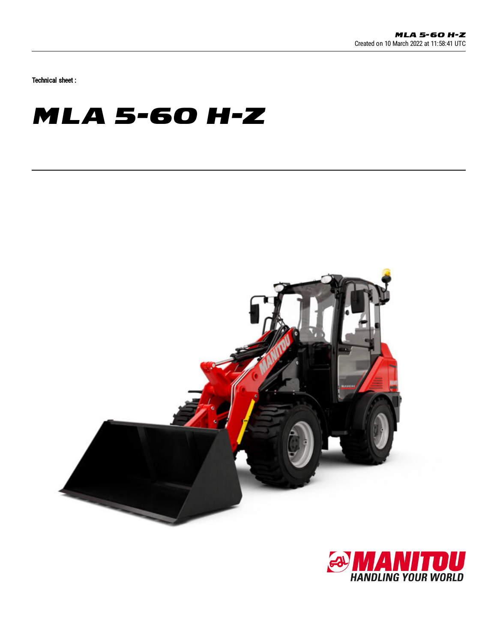Technical sheet :

## **MLA 5-60 H-Z**



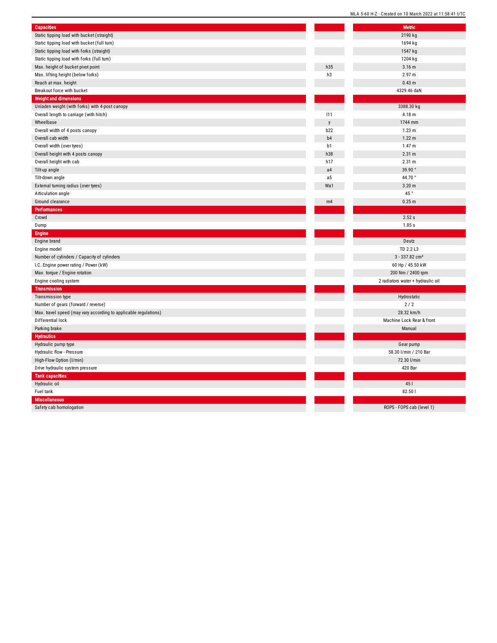| <b>Capacities</b>                                                | <b>Metric</b>                     |  |
|------------------------------------------------------------------|-----------------------------------|--|
| Static tipping load with bucket (straight)                       | 2190 kg                           |  |
| Static tipping load with bucket (full turn)                      | 1694 kg                           |  |
| Static tipping load with forks (straight)                        | 1547 kg                           |  |
| Static tipping load with forks (full turn)                       | 1204 kg                           |  |
| Max. height of bucket pivot point                                | h35<br>3.16 <sub>m</sub>          |  |
| Max. lifting height (below forks)                                | h3<br>2.97 m                      |  |
| Reach at max. height                                             | 0.43 <sub>m</sub>                 |  |
| Breakout force with bucket                                       | 4329.46 daN                       |  |
| <b>Weight and dimensions</b>                                     |                                   |  |
| Unladen weight (with forks) with 4-post canopy                   | 3388.30 kg                        |  |
| Overall length to carriage (with hitch)                          | 111<br>4.18 m                     |  |
| Wheelbase                                                        | 1744 mm<br>y                      |  |
| Overall width of 4 posts canopy                                  | b22<br>1.23 m                     |  |
| Overall cab width                                                | b4<br>$1.22 \text{ m}$            |  |
| Overall width (over tyres)                                       | b1<br>1.47 m                      |  |
| Overall height with 4 posts canopy                               | 2.31 m<br>h38                     |  |
| Overall height with cab                                          | 2.31 m<br>h17                     |  |
| Tilt-up angle                                                    | 39.90°<br>a4                      |  |
| Tilt-down angle                                                  | 44.70°<br>a <sub>5</sub>          |  |
| External turning radius (over tyres)                             | 3.20 <sub>m</sub><br>Wa1          |  |
| Articulation angle                                               | 45 °                              |  |
|                                                                  | 0.25 m<br>m4                      |  |
| Ground clearance                                                 |                                   |  |
| Performances<br>Crowd                                            | 2.52 s                            |  |
|                                                                  |                                   |  |
| Dump                                                             | 1.85s                             |  |
| Engine                                                           |                                   |  |
| Engine brand                                                     | Deutz                             |  |
| Engine model                                                     | TD 2.2 L3                         |  |
| Number of cylinders / Capacity of cylinders                      | 3 - 337.82 cm <sup>3</sup>        |  |
| I.C. Engine power rating / Power (kW)                            | 60 Hp / 45.50 kW                  |  |
| Max. torque / Engine rotation                                    | 200 Nm / 2400 rpm                 |  |
| Engine cooling system                                            | 2 radiators water + hydraulic oil |  |
| <b>Transmission</b>                                              |                                   |  |
| Transmission type                                                | Hydrostatic                       |  |
| Number of gears (forward / reverse)                              | 2/2                               |  |
| Max. travel speed (may vary according to applicable regulations) | 28.32 km/h                        |  |
| Differential lock                                                | Machine Lock Rear & front         |  |
| Parking brake                                                    | Manual                            |  |
| <b>Hydraulics</b>                                                |                                   |  |
| Hydraulic pump type                                              | Gear pump                         |  |
| Hydraulic flow - Pressure                                        | 58.30 I/min / 210 Bar             |  |
| High-Flow Option (I/min)                                         | 72.30 l/min                       |  |
| Drive hydraulic system pressure                                  | 420 Bar                           |  |
| <b>Tank capacities</b>                                           |                                   |  |
| Hydraulic oil                                                    | 45                                |  |
| Fuel tank                                                        | 82.501                            |  |
| <b>Miscellaneous</b>                                             |                                   |  |
| Safety cab homologation                                          | ROPS - FOPS cab (level 1)         |  |